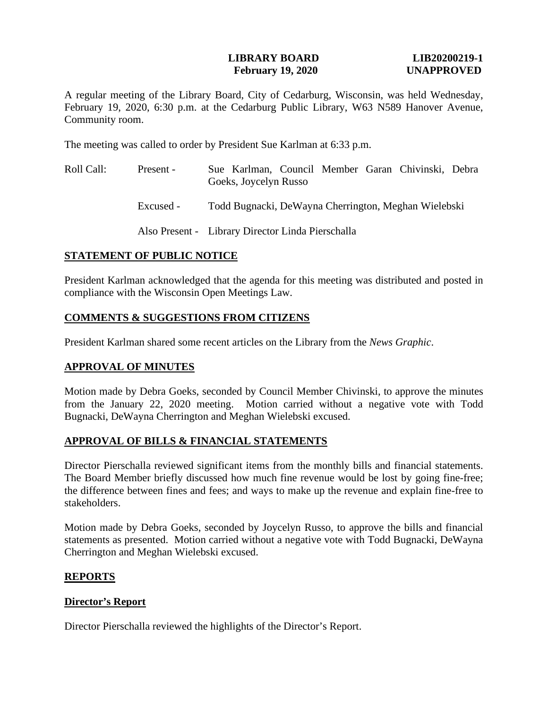## **LIBRARY BOARD LIB20200219-1 February 19, 2020 UNAPPROVED**

A regular meeting of the Library Board, City of Cedarburg, Wisconsin, was held Wednesday, February 19, 2020, 6:30 p.m. at the Cedarburg Public Library, W63 N589 Hanover Avenue, Community room.

The meeting was called to order by President Sue Karlman at 6:33 p.m.

Roll Call: Present - Excused - Sue Karlman, Council Member Garan Chivinski, Debra Goeks, Joycelyn Russo Todd Bugnacki, DeWayna Cherrington, Meghan Wielebski

Also Present - Library Director Linda Pierschalla

# **STATEMENT OF PUBLIC NOTICE**

President Karlman acknowledged that the agenda for this meeting was distributed and posted in compliance with the Wisconsin Open Meetings Law.

# **COMMENTS & SUGGESTIONS FROM CITIZENS**

President Karlman shared some recent articles on the Library from the *News Graphic*.

# **APPROVAL OF MINUTES**

Motion made by Debra Goeks, seconded by Council Member Chivinski, to approve the minutes from the January 22, 2020 meeting. Motion carried without a negative vote with Todd Bugnacki, DeWayna Cherrington and Meghan Wielebski excused.

# **APPROVAL OF BILLS & FINANCIAL STATEMENTS**

Director Pierschalla reviewed significant items from the monthly bills and financial statements. The Board Member briefly discussed how much fine revenue would be lost by going fine-free; the difference between fines and fees; and ways to make up the revenue and explain fine-free to stakeholders.

Motion made by Debra Goeks, seconded by Joycelyn Russo, to approve the bills and financial statements as presented. Motion carried without a negative vote with Todd Bugnacki, DeWayna Cherrington and Meghan Wielebski excused.

# **REPORTS**

# **Director's Report**

Director Pierschalla reviewed the highlights of the Director's Report.